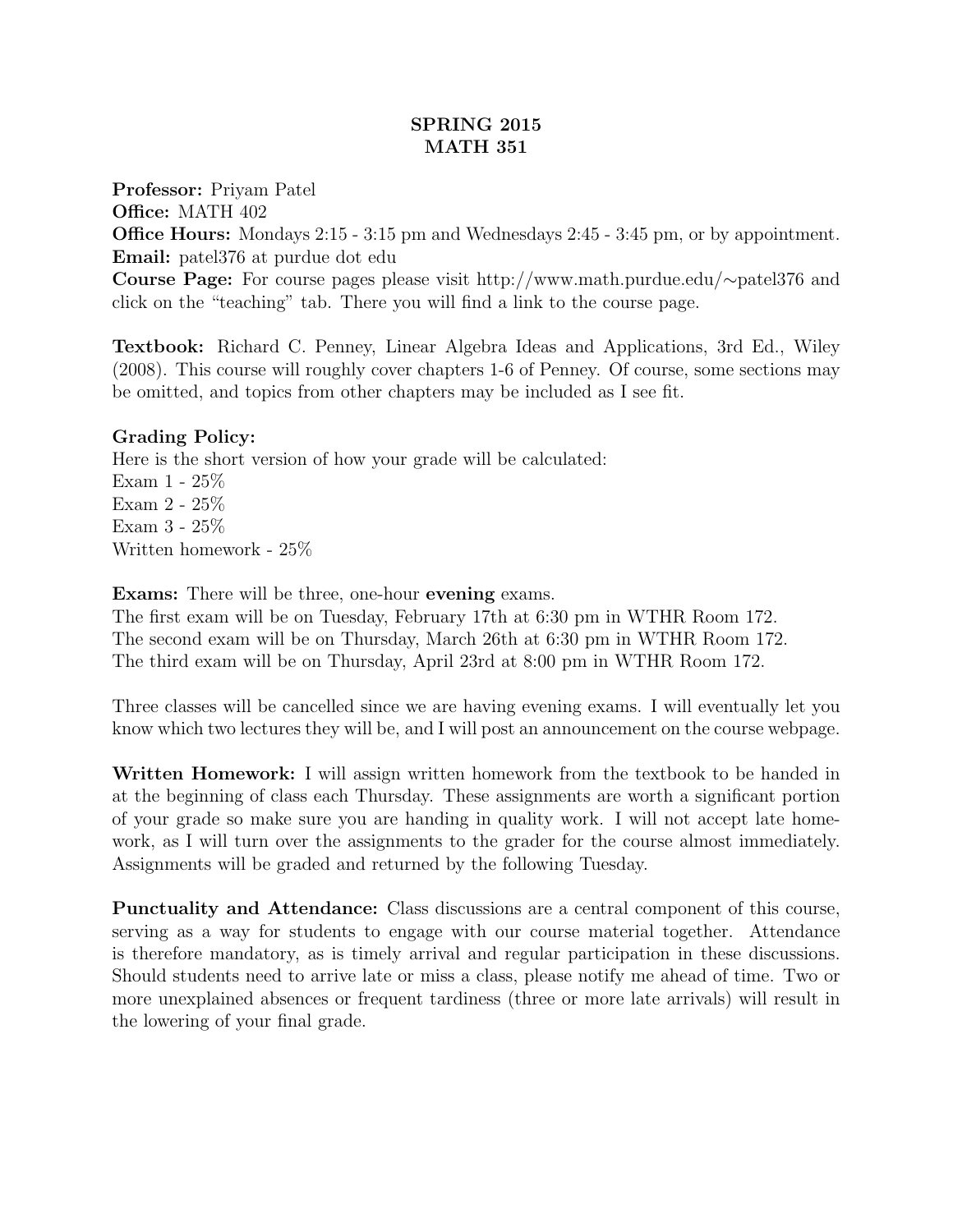## SPRING 2015 MATH 351

Professor: Priyam Patel

Office: MATH 402

Office Hours: Mondays 2:15 - 3:15 pm and Wednesdays 2:45 - 3:45 pm, or by appointment. Email: patel376 at purdue dot edu

Course Page: For course pages please visit http://www.math.purdue.edu/∼patel376 and click on the "teaching" tab. There you will find a link to the course page.

Textbook: Richard C. Penney, Linear Algebra Ideas and Applications, 3rd Ed., Wiley (2008). This course will roughly cover chapters 1-6 of Penney. Of course, some sections may be omitted, and topics from other chapters may be included as I see fit.

## Grading Policy:

Here is the short version of how your grade will be calculated: Exam 1 - 25% Exam 2 - 25% Exam 3 - 25% Written homework - 25%

Exams: There will be three, one-hour evening exams.

The first exam will be on Tuesday, February 17th at 6:30 pm in WTHR Room 172. The second exam will be on Thursday, March 26th at 6:30 pm in WTHR Room 172. The third exam will be on Thursday, April 23rd at 8:00 pm in WTHR Room 172.

Three classes will be cancelled since we are having evening exams. I will eventually let you know which two lectures they will be, and I will post an announcement on the course webpage.

Written Homework: I will assign written homework from the textbook to be handed in at the beginning of class each Thursday. These assignments are worth a significant portion of your grade so make sure you are handing in quality work. I will not accept late homework, as I will turn over the assignments to the grader for the course almost immediately. Assignments will be graded and returned by the following Tuesday.

Punctuality and Attendance: Class discussions are a central component of this course, serving as a way for students to engage with our course material together. Attendance is therefore mandatory, as is timely arrival and regular participation in these discussions. Should students need to arrive late or miss a class, please notify me ahead of time. Two or more unexplained absences or frequent tardiness (three or more late arrivals) will result in the lowering of your final grade.